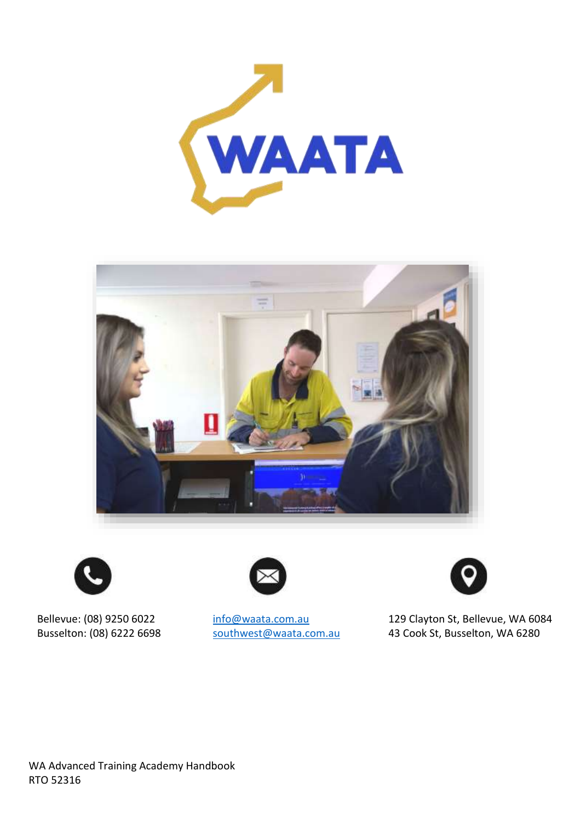









Bellevue: (08) 9250 6022 [info@waata.com.au](mailto:info@waata.com.au) 129 Clayton St, Bellevue, WA 6084<br>Busselton: (08) 6222 6698 southwest@waata.com.au 43 Cook St, Busselton, WA 6280 [southwest@waata.com.au](mailto:southwest@waata.com.au) 43 Cook St, Busselton, WA 6280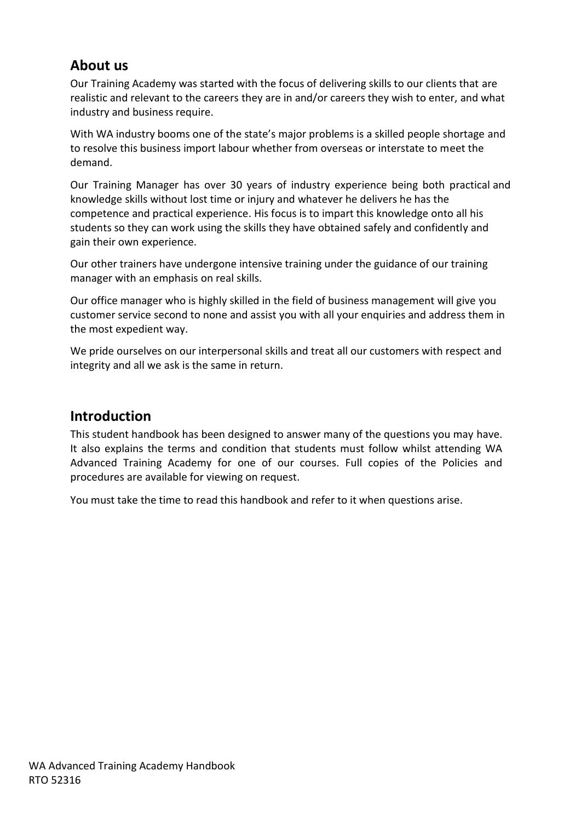## **About us**

Our Training Academy was started with the focus of delivering skills to our clients that are realistic and relevant to the careers they are in and/or careers they wish to enter, and what industry and business require.

With WA industry booms one of the state's major problems is a skilled people shortage and to resolve this business import labour whether from overseas or interstate to meet the demand.

Our Training Manager has over 30 years of industry experience being both practical and knowledge skills without lost time or injury and whatever he delivers he has the competence and practical experience. His focus is to impart this knowledge onto all his students so they can work using the skills they have obtained safely and confidently and gain their own experience.

Our other trainers have undergone intensive training under the guidance of our training manager with an emphasis on real skills.

Our office manager who is highly skilled in the field of business management will give you customer service second to none and assist you with all your enquiries and address them in the most expedient way.

We pride ourselves on our interpersonal skills and treat all our customers with respect and integrity and all we ask is the same in return.

## **Introduction**

This student handbook has been designed to answer many of the questions you may have. It also explains the terms and condition that students must follow whilst attending WA Advanced Training Academy for one of our courses. Full copies of the Policies and procedures are available for viewing on request.

You must take the time to read this handbook and refer to it when questions arise.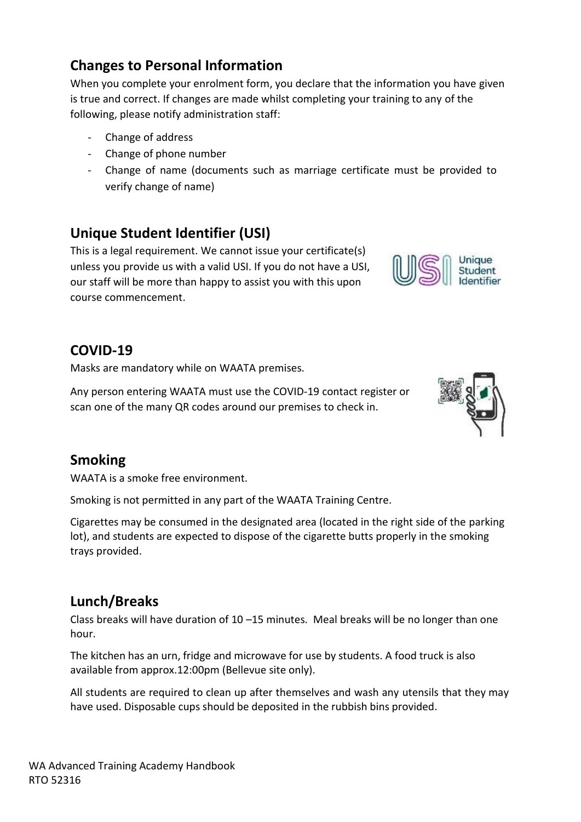# **Changes to Personal Information**

When you complete your enrolment form, you declare that the information you have given is true and correct. If changes are made whilst completing your training to any of the following, please notify administration staff:

- Change of address
- Change of phone number
- Change of name (documents such as marriage certificate must be provided to verify change of name)

# **Unique Student Identifier (USI)**

This is a legal requirement. We cannot issue your certificate(s) unless you provide us with a valid USI. If you do not have a USI, our staff will be more than happy to assist you with this upon course commencement.

## **COVID-19**

Masks are mandatory while on WAATA premises.

Any person entering WAATA must use the COVID-19 contact register or scan one of the many QR codes around our premises to check in.

## **Smoking**

WAATA is a smoke free environment.

Smoking is not permitted in any part of the WAATA Training Centre.

Cigarettes may be consumed in the designated area (located in the right side of the parking lot), and students are expected to dispose of the cigarette butts properly in the smoking trays provided.

## **Lunch/Breaks**

Class breaks will have duration of 10 –15 minutes. Meal breaks will be no longer than one hour.

The kitchen has an urn, fridge and microwave for use by students. A food truck is also available from approx.12:00pm (Bellevue site only).

All students are required to clean up after themselves and wash any utensils that they may have used. Disposable cups should be deposited in the rubbish bins provided.



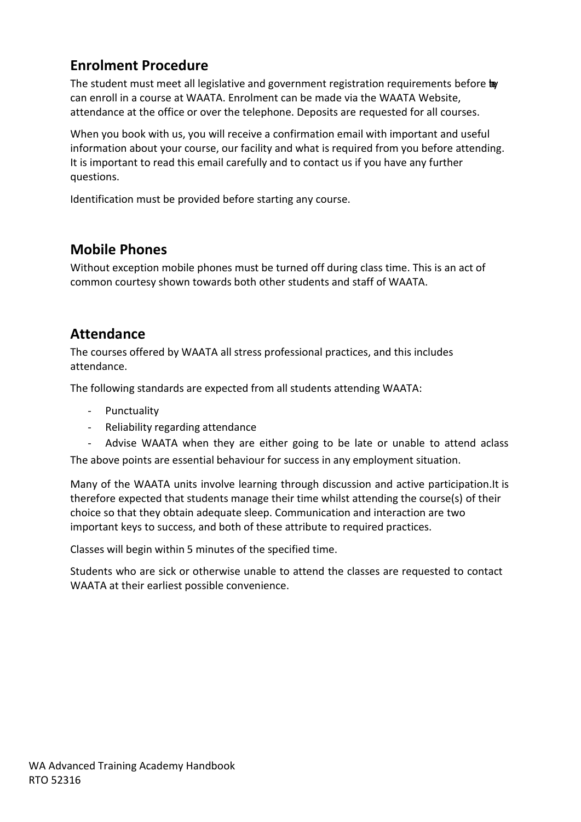## **Enrolment Procedure**

The student must meet all legislative and government registration requirements before to can enroll in a course at WAATA. Enrolment can be made via the WAATA Website, attendance at the office or over the telephone. Deposits are requested for all courses.

When you book with us, you will receive a confirmation email with important and useful information about your course, our facility and what is required from you before attending. It is important to read this email carefully and to contact us if you have any further questions.

Identification must be provided before starting any course.

## **Mobile Phones**

Without exception mobile phones must be turned off during class time. This is an act of common courtesy shown towards both other students and staff of WAATA.

#### **Attendance**

The courses offered by WAATA all stress professional practices, and this includes attendance.

The following standards are expected from all students attending WAATA:

- **Punctuality**
- Reliability regarding attendance

- Advise WAATA when they are either going to be late or unable to attend aclass The above points are essential behaviour for success in any employment situation.

Many of the WAATA units involve learning through discussion and active participation.It is therefore expected that students manage their time whilst attending the course(s) of their choice so that they obtain adequate sleep. Communication and interaction are two important keys to success, and both of these attribute to required practices.

Classes will begin within 5 minutes of the specified time.

Students who are sick or otherwise unable to attend the classes are requested to contact WAATA at their earliest possible convenience.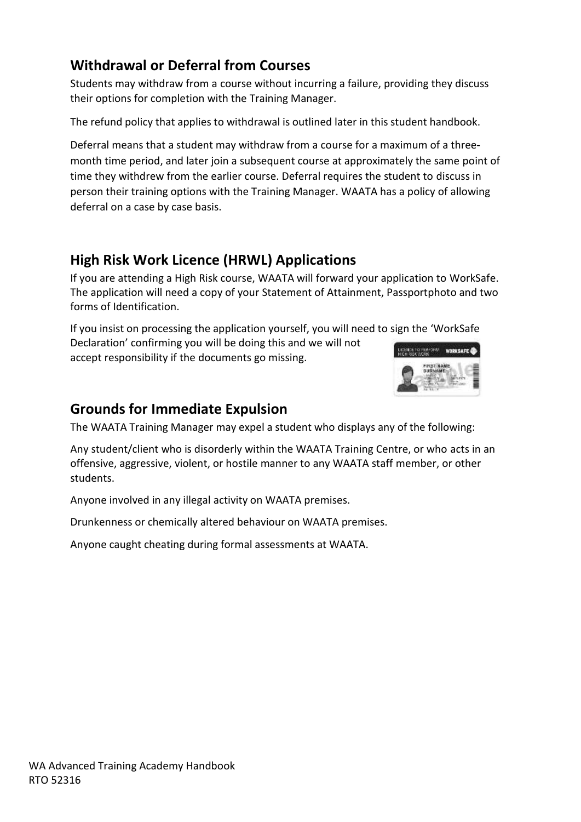## **Withdrawal or Deferral from Courses**

Students may withdraw from a course without incurring a failure, providing they discuss their options for completion with the Training Manager.

The refund policy that applies to withdrawal is outlined later in this student handbook.

Deferral means that a student may withdraw from a course for a maximum of a threemonth time period, and later join a subsequent course at approximately the same point of time they withdrew from the earlier course. Deferral requires the student to discuss in person their training options with the Training Manager. WAATA has a policy of allowing deferral on a case by case basis.

## **High Risk Work Licence (HRWL) Applications**

If you are attending a High Risk course, WAATA will forward your application to WorkSafe. The application will need a copy of your Statement of Attainment, Passportphoto and two forms of Identification.

If you insist on processing the application yourself, you will need to sign the 'WorkSafe Declaration' confirming you will be doing this and we will not **ACE TO TEMPORT WORKSAFE @** accept responsibility if the documents go missing.



#### **Grounds for Immediate Expulsion**

The WAATA Training Manager may expel a student who displays any of the following:

Any student/client who is disorderly within the WAATA Training Centre, or who acts in an offensive, aggressive, violent, or hostile manner to any WAATA staff member, or other students.

Anyone involved in any illegal activity on WAATA premises.

Drunkenness or chemically altered behaviour on WAATA premises.

Anyone caught cheating during formal assessments at WAATA.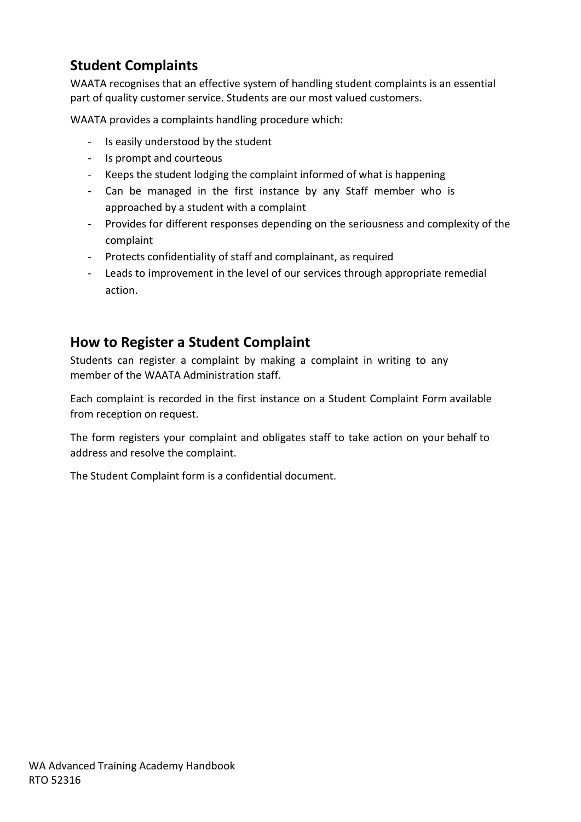## **Student Complaints**

WAATA recognises that an effective system of handling student complaints is an essential part of quality customer service. Students are our most valued customers.

WAATA provides a complaints handling procedure which:

- Is easily understood by the student
- Is prompt and courteous
- Keeps the student lodging the complaint informed of what is happening
- Can be managed in the first instance by any Staff member who is approached by a student with a complaint
- Provides for different responses depending on the seriousness and complexity of the complaint
- Protects confidentiality of staff and complainant, as required
- Leads to improvement in the level of our services through appropriate remedial action.

#### **How to Register a Student Complaint**

Students can register a complaint by making a complaint in writing to any member of the WAATA Administration staff.

Each complaint is recorded in the first instance on a Student Complaint Form available from reception on request.

The form registers your complaint and obligates staff to take action on your behalf to address and resolve the complaint.

The Student Complaint form is a confidential document.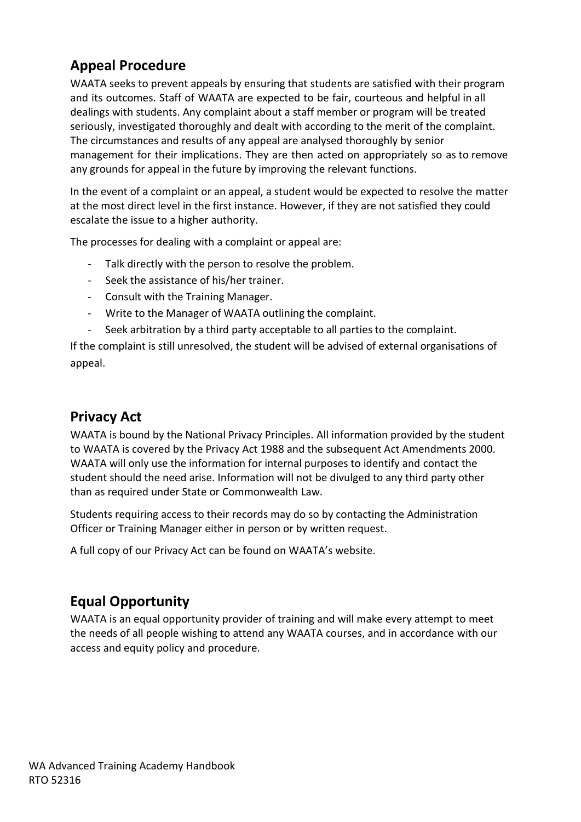## **Appeal Procedure**

WAATA seeks to prevent appeals by ensuring that students are satisfied with their program and its outcomes. Staff of WAATA are expected to be fair, courteous and helpful in all dealings with students. Any complaint about a staff member or program will be treated seriously, investigated thoroughly and dealt with according to the merit of the complaint. The circumstances and results of any appeal are analysed thoroughly by senior management for their implications. They are then acted on appropriately so as to remove any grounds for appeal in the future by improving the relevant functions.

In the event of a complaint or an appeal, a student would be expected to resolve the matter at the most direct level in the first instance. However, if they are not satisfied they could escalate the issue to a higher authority.

The processes for dealing with a complaint or appeal are:

- Talk directly with the person to resolve the problem.
- Seek the assistance of his/her trainer.
- Consult with the Training Manager.
- Write to the Manager of WAATA outlining the complaint.
- Seek arbitration by a third party acceptable to all parties to the complaint.

If the complaint is still unresolved, the student will be advised of external organisations of appeal.

#### **Privacy Act**

WAATA is bound by the National Privacy Principles. All information provided by the student to WAATA is covered by the Privacy Act 1988 and the subsequent Act Amendments 2000. WAATA will only use the information for internal purposes to identify and contact the student should the need arise. Information will not be divulged to any third party other than as required under State or Commonwealth Law.

Students requiring access to their records may do so by contacting the Administration Officer or Training Manager either in person or by written request.

A full copy of our Privacy Act can be found on WAATA's website.

#### **Equal Opportunity**

WAATA is an equal opportunity provider of training and will make every attempt to meet the needs of all people wishing to attend any WAATA courses, and in accordance with our access and equity policy and procedure.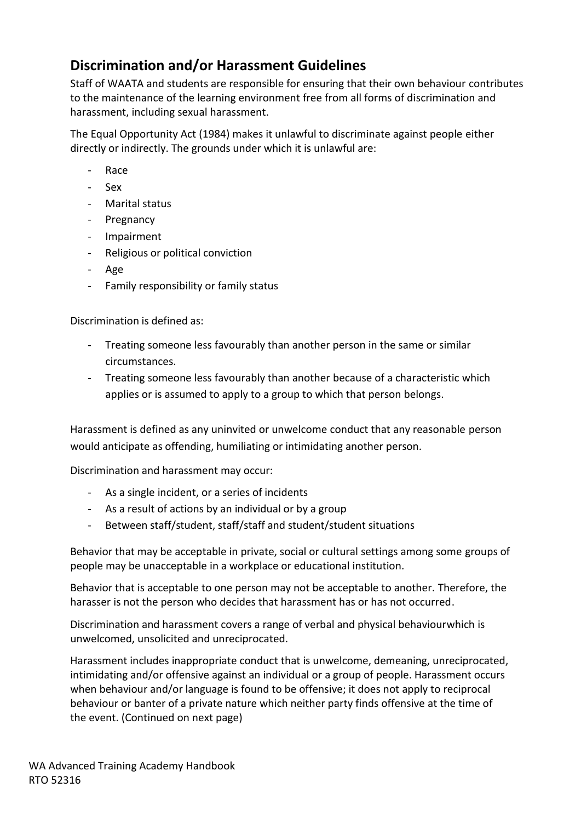## **Discrimination and/or Harassment Guidelines**

Staff of WAATA and students are responsible for ensuring that their own behaviour contributes to the maintenance of the learning environment free from all forms of discrimination and harassment, including sexual harassment.

The Equal Opportunity Act (1984) makes it unlawful to discriminate against people either directly or indirectly. The grounds under which it is unlawful are:

- Race
- Sex
- Marital status
- Pregnancy
- Impairment
- Religious or political conviction
- Age
- Family responsibility or family status

Discrimination is defined as:

- Treating someone less favourably than another person in the same or similar circumstances.
- Treating someone less favourably than another because of a characteristic which applies or is assumed to apply to a group to which that person belongs.

Harassment is defined as any uninvited or unwelcome conduct that any reasonable person would anticipate as offending, humiliating or intimidating another person.

Discrimination and harassment may occur:

- As a single incident, or a series of incidents
- As a result of actions by an individual or by a group
- Between staff/student, staff/staff and student/student situations

Behavior that may be acceptable in private, social or cultural settings among some groups of people may be unacceptable in a workplace or educational institution.

Behavior that is acceptable to one person may not be acceptable to another. Therefore, the harasser is not the person who decides that harassment has or has not occurred.

Discrimination and harassment covers a range of verbal and physical behaviourwhich is unwelcomed, unsolicited and unreciprocated.

Harassment includes inappropriate conduct that is unwelcome, demeaning, unreciprocated, intimidating and/or offensive against an individual or a group of people. Harassment occurs when behaviour and/or language is found to be offensive; it does not apply to reciprocal behaviour or banter of a private nature which neither party finds offensive at the time of the event. (Continued on next page)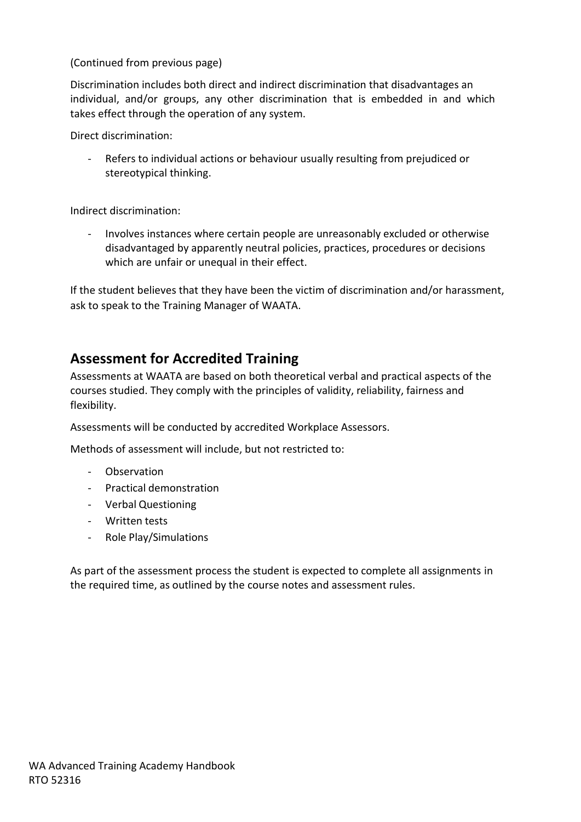(Continued from previous page)

Discrimination includes both direct and indirect discrimination that disadvantages an individual, and/or groups, any other discrimination that is embedded in and which takes effect through the operation of any system.

Direct discrimination:

Refers to individual actions or behaviour usually resulting from prejudiced or stereotypical thinking.

Indirect discrimination:

- Involves instances where certain people are unreasonably excluded or otherwise disadvantaged by apparently neutral policies, practices, procedures or decisions which are unfair or unequal in their effect.

If the student believes that they have been the victim of discrimination and/or harassment, ask to speak to the Training Manager of WAATA.

## **Assessment for Accredited Training**

Assessments at WAATA are based on both theoretical verbal and practical aspects of the courses studied. They comply with the principles of validity, reliability, fairness and flexibility.

Assessments will be conducted by accredited Workplace Assessors.

Methods of assessment will include, but not restricted to:

- Observation
- Practical demonstration
- Verbal Questioning
- Written tests
- Role Play/Simulations

As part of the assessment process the student is expected to complete all assignments in the required time, as outlined by the course notes and assessment rules.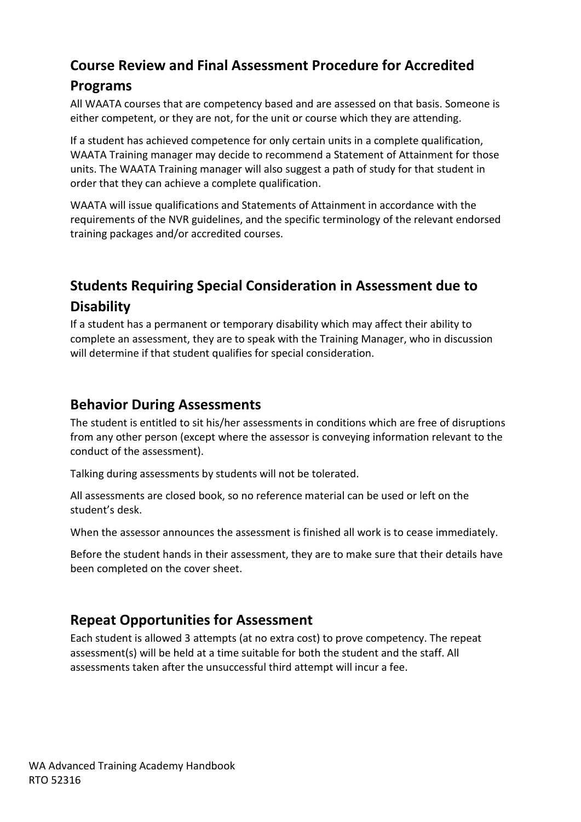# **Course Review and Final Assessment Procedure for Accredited**

#### **Programs**

All WAATA courses that are competency based and are assessed on that basis. Someone is either competent, or they are not, for the unit or course which they are attending.

If a student has achieved competence for only certain units in a complete qualification, WAATA Training manager may decide to recommend a Statement of Attainment for those units. The WAATA Training manager will also suggest a path of study for that student in order that they can achieve a complete qualification.

WAATA will issue qualifications and Statements of Attainment in accordance with the requirements of the NVR guidelines, and the specific terminology of the relevant endorsed training packages and/or accredited courses.

# **Students Requiring Special Consideration in Assessment due to Disability**

If a student has a permanent or temporary disability which may affect their ability to complete an assessment, they are to speak with the Training Manager, who in discussion will determine if that student qualifies for special consideration.

## **Behavior During Assessments**

The student is entitled to sit his/her assessments in conditions which are free of disruptions from any other person (except where the assessor is conveying information relevant to the conduct of the assessment).

Talking during assessments by students will not be tolerated.

All assessments are closed book, so no reference material can be used or left on the student's desk.

When the assessor announces the assessment is finished all work is to cease immediately.

Before the student hands in their assessment, they are to make sure that their details have been completed on the cover sheet.

## **Repeat Opportunities for Assessment**

Each student is allowed 3 attempts (at no extra cost) to prove competency. The repeat assessment(s) will be held at a time suitable for both the student and the staff. All assessments taken after the unsuccessful third attempt will incur a fee.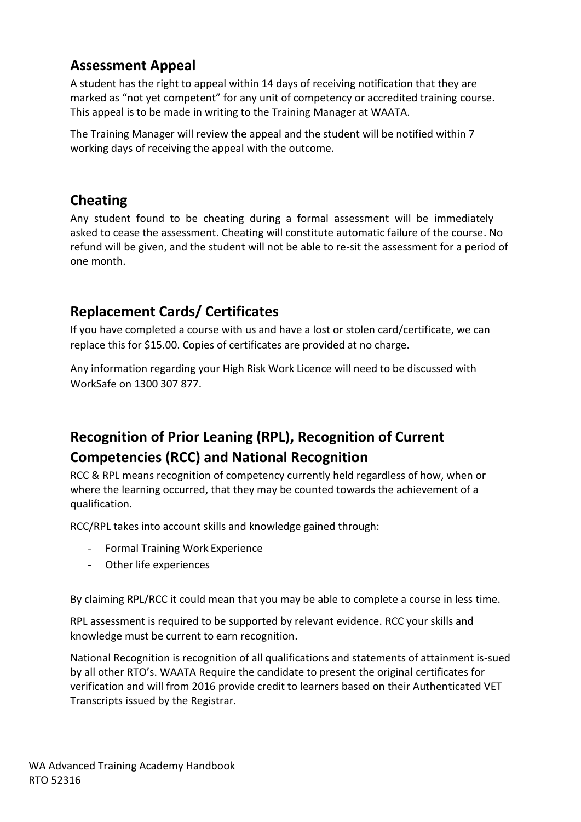## **Assessment Appeal**

A student has the right to appeal within 14 days of receiving notification that they are marked as "not yet competent" for any unit of competency or accredited training course. This appeal is to be made in writing to the Training Manager at WAATA.

The Training Manager will review the appeal and the student will be notified within 7 working days of receiving the appeal with the outcome.

## **Cheating**

Any student found to be cheating during a formal assessment will be immediately asked to cease the assessment. Cheating will constitute automatic failure of the course. No refund will be given, and the student will not be able to re-sit the assessment for a period of one month.

## **Replacement Cards/ Certificates**

If you have completed a course with us and have a lost or stolen card/certificate, we can replace this for \$15.00. Copies of certificates are provided at no charge.

Any information regarding your High Risk Work Licence will need to be discussed with WorkSafe on 1300 307 877.

# **Recognition of Prior Leaning (RPL), Recognition of Current Competencies (RCC) and National Recognition**

RCC & RPL means recognition of competency currently held regardless of how, when or where the learning occurred, that they may be counted towards the achievement of a qualification.

RCC/RPL takes into account skills and knowledge gained through:

- Formal Training Work Experience
- Other life experiences

By claiming RPL/RCC it could mean that you may be able to complete a course in less time.

RPL assessment is required to be supported by relevant evidence. RCC your skills and knowledge must be current to earn recognition.

National Recognition is recognition of all qualifications and statements of attainment is-sued by all other RTO's. WAATA Require the candidate to present the original certificates for verification and will from 2016 provide credit to learners based on their Authenticated VET Transcripts issued by the Registrar.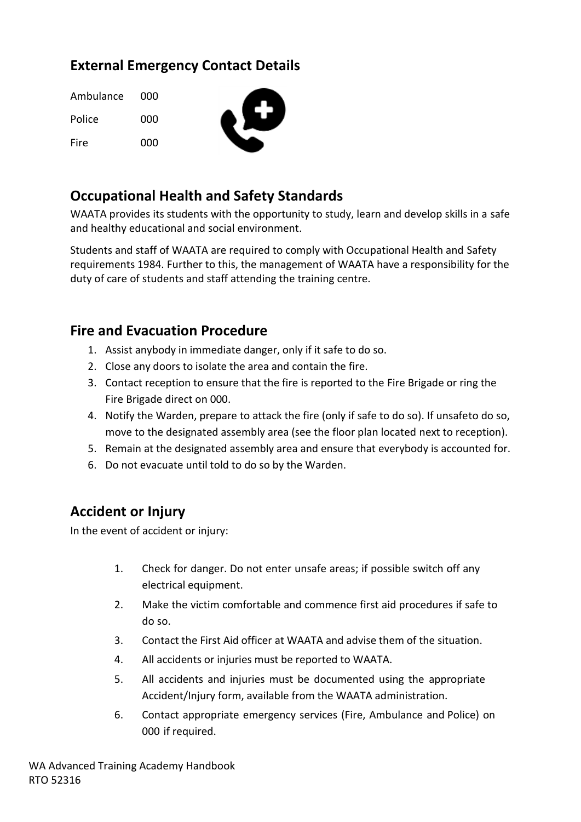# **External Emergency Contact Details**

| Ambulance | - 000 |  |
|-----------|-------|--|
| Police    | 000   |  |
| Fire      | 000   |  |

## **Occupational Health and Safety Standards**

WAATA provides its students with the opportunity to study, learn and develop skills in a safe and healthy educational and social environment.

Students and staff of WAATA are required to comply with Occupational Health and Safety requirements 1984. Further to this, the management of WAATA have a responsibility for the duty of care of students and staff attending the training centre.

## **Fire and Evacuation Procedure**

- 1. Assist anybody in immediate danger, only if it safe to do so.
- 2. Close any doors to isolate the area and contain the fire.
- 3. Contact reception to ensure that the fire is reported to the Fire Brigade or ring the Fire Brigade direct on 000.
- 4. Notify the Warden, prepare to attack the fire (only if safe to do so). If unsafeto do so, move to the designated assembly area (see the floor plan located next to reception).
- 5. Remain at the designated assembly area and ensure that everybody is accounted for.
- 6. Do not evacuate until told to do so by the Warden.

## **Accident or Injury**

In the event of accident or injury:

- 1. Check for danger. Do not enter unsafe areas; if possible switch off any electrical equipment.
- 2. Make the victim comfortable and commence first aid procedures if safe to do so.
- 3. Contact the First Aid officer at WAATA and advise them of the situation.
- 4. All accidents or injuries must be reported to WAATA.
- 5. All accidents and injuries must be documented using the appropriate Accident/Injury form, available from the WAATA administration.
- 6. Contact appropriate emergency services (Fire, Ambulance and Police) on 000 if required.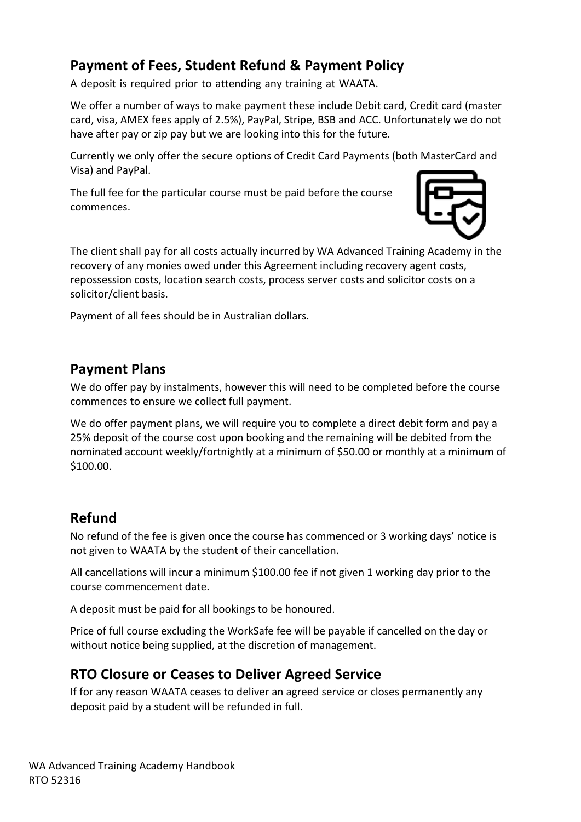# **Payment of Fees, Student Refund & Payment Policy**

A deposit is required prior to attending any training at WAATA.

We offer a number of ways to make payment these include Debit card, Credit card (master card, visa, AMEX fees apply of 2.5%), PayPal, Stripe, BSB and ACC. Unfortunately we do not have after pay or zip pay but we are looking into this for the future.

Currently we only offer the secure options of Credit Card Payments (both MasterCard and Visa) and PayPal.

The full fee for the particular course must be paid before the course commences.



The client shall pay for all costs actually incurred by WA Advanced Training Academy in the recovery of any monies owed under this Agreement including recovery agent costs, repossession costs, location search costs, process server costs and solicitor costs on a solicitor/client basis.

Payment of all fees should be in Australian dollars.

#### **Payment Plans**

We do offer pay by instalments, however this will need to be completed before the course commences to ensure we collect full payment.

We do offer payment plans, we will require you to complete a direct debit form and pay a 25% deposit of the course cost upon booking and the remaining will be debited from the nominated account weekly/fortnightly at a minimum of \$50.00 or monthly at a minimum of \$100.00.

## **Refund**

No refund of the fee is given once the course has commenced or 3 working days' notice is not given to WAATA by the student of their cancellation.

All cancellations will incur a minimum \$100.00 fee if not given 1 working day prior to the course commencement date.

A deposit must be paid for all bookings to be honoured.

Price of full course excluding the WorkSafe fee will be payable if cancelled on the day or without notice being supplied, at the discretion of management.

## **RTO Closure or Ceases to Deliver Agreed Service**

If for any reason WAATA ceases to deliver an agreed service or closes permanently any deposit paid by a student will be refunded in full.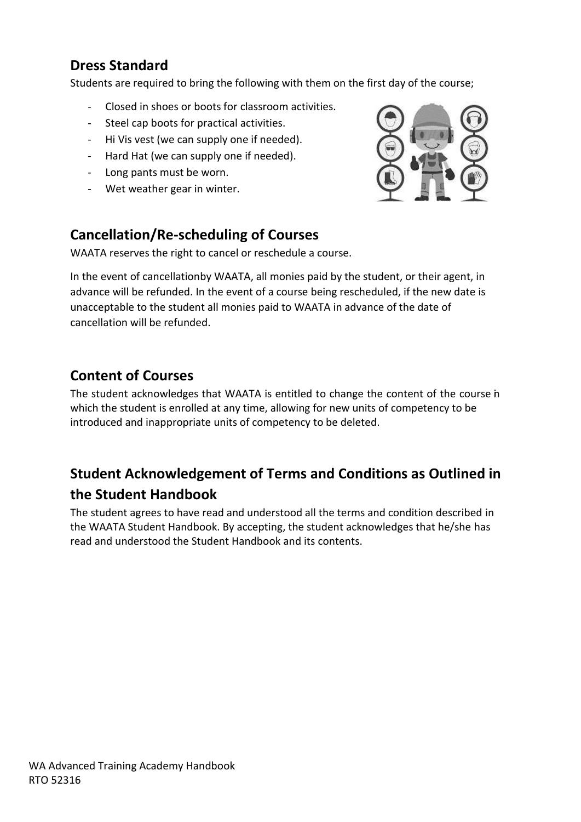## **Dress Standard**

Students are required to bring the following with them on the first day of the course;

- Closed in shoes or boots for classroom activities.
- Steel cap boots for practical activities.
- Hi Vis vest (we can supply one if needed).
- Hard Hat (we can supply one if needed).
- Long pants must be worn.
- Wet weather gear in winter.

## **Cancellation/Re-scheduling of Courses**

WAATA reserves the right to cancel or reschedule a course.

In the event of cancellationby WAATA, all monies paid by the student, or their agent, in advance will be refunded. In the event of a course being rescheduled, if the new date is unacceptable to the student all monies paid to WAATA in advance of the date of cancellation will be refunded.

## **Content of Courses**

The student acknowledges that WAATA is entitled to change the content of the course in which the student is enrolled at any time, allowing for new units of competency to be introduced and inappropriate units of competency to be deleted.

# **Student Acknowledgement of Terms and Conditions as Outlined in the Student Handbook**

The student agrees to have read and understood all the terms and condition described in the WAATA Student Handbook. By accepting, the student acknowledges that he/she has read and understood the Student Handbook and its contents.